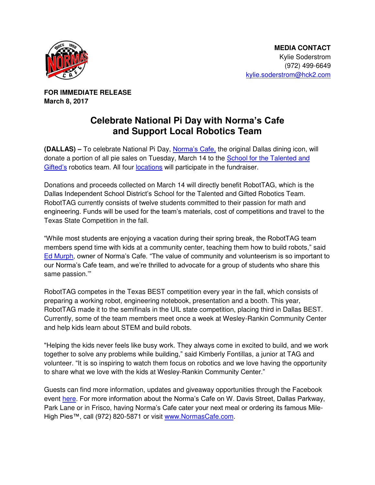

**FOR IMMEDIATE RELEASE March 8, 2017** 

## **Celebrate National Pi Day with Norma's Cafe and Support Local Robotics Team**

**(DALLAS) –** To celebrate National Pi Day, [Norma's Cafe,](http://normascafe.com/) the original Dallas dining icon, will donate a portion of all pie sales on Tuesday, March 14 to the [School for the Talented and](http://tagmagnet.org/)  [Gifted's](http://tagmagnet.org/) robotics team. All four **locations** will participate in the fundraiser.

Donations and proceeds collected on March 14 will directly benefit RobotTAG, which is the Dallas Independent School District's School for the Talented and Gifted Robotics Team. RobotTAG currently consists of twelve students committed to their passion for math and engineering. Funds will be used for the team's materials, cost of competitions and travel to the Texas State Competition in the fall.

"While most students are enjoying a vacation during their spring break, the RobotTAG team members spend time with kids at a community center, teaching them how to build robots," said [Ed Murph](http://www.normascafe.com/about/), owner of Norma's Cafe. "The value of community and volunteerism is so important to our Norma's Cafe team, and we're thrilled to advocate for a group of students who share this same passion.'"

RobotTAG competes in the Texas BEST competition every year in the fall, which consists of preparing a working robot, engineering notebook, presentation and a booth. This year, RobotTAG made it to the semifinals in the UIL state competition, placing third in Dallas BEST. Currently, some of the team members meet once a week at Wesley-Rankin Community Center and help kids learn about STEM and build robots.

"Helping the kids never feels like busy work. They always come in excited to build, and we work together to solve any problems while building," said Kimberly Fontillas, a junior at TAG and volunteer. "It is so inspiring to watch them focus on robotics and we love having the opportunity to share what we love with the kids at Wesley-Rankin Community Center."

Guests can find more information, updates and giveaway opportunities through the Facebook event [here.](https://www.facebook.com/events/414537835550409/) For more information about the Norma's Cafe on W. Davis Street, Dallas Parkway, Park Lane or in Frisco, having Norma's Cafe cater your next meal or ordering its famous MileHigh Pies™, call (972) 820-5871 or visit [www.NormasCafe.com.](http://www.normascafe.com/)